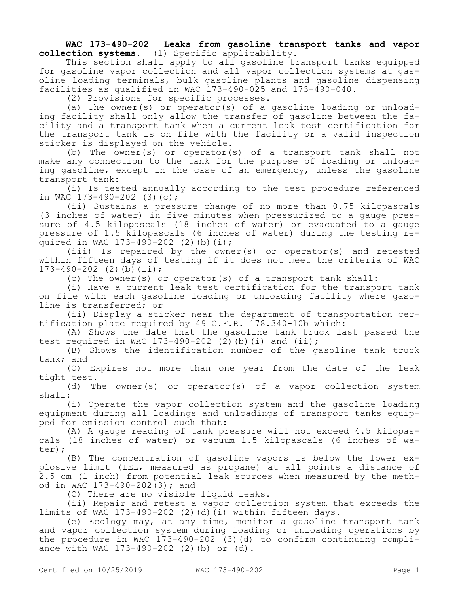**WAC 173-490-202 Leaks from gasoline transport tanks and vapor collection systems.** (1) Specific applicability.

This section shall apply to all gasoline transport tanks equipped for gasoline vapor collection and all vapor collection systems at gasoline loading terminals, bulk gasoline plants and gasoline dispensing facilities as qualified in WAC 173-490-025 and 173-490-040.

(2) Provisions for specific processes.

(a) The owner(s) or operator(s) of a gasoline loading or unloading facility shall only allow the transfer of gasoline between the facility and a transport tank when a current leak test certification for the transport tank is on file with the facility or a valid inspection sticker is displayed on the vehicle.

(b) The owner(s) or operator(s) of a transport tank shall not make any connection to the tank for the purpose of loading or unloading gasoline, except in the case of an emergency, unless the gasoline transport tank:

(i) Is tested annually according to the test procedure referenced in WAC 173-490-202 (3)(c);

(ii) Sustains a pressure change of no more than 0.75 kilopascals (3 inches of water) in five minutes when pressurized to a gauge pressure of 4.5 kilopascals (18 inches of water) or evacuated to a gauge pressure of 1.5 kilopascals (6 inches of water) during the testing required in WAC 173-490-202 (2)(b)(i);

(iii) Is repaired by the owner(s) or operator(s) and retested within fifteen days of testing if it does not meet the criteria of WAC  $173-490-202$  (2)(b)(ii);

(c) The owner(s) or operator(s) of a transport tank shall:

(i) Have a current leak test certification for the transport tank on file with each gasoline loading or unloading facility where gasoline is transferred; or

(ii) Display a sticker near the department of transportation certification plate required by 49 C.F.R. 178.340-10b which:

(A) Shows the date that the gasoline tank truck last passed the test required in WAC 173-490-202 (2)(b)(i) and (ii);

(B) Shows the identification number of the gasoline tank truck tank; and

(C) Expires not more than one year from the date of the leak tight test.

(d) The owner(s) or operator(s) of a vapor collection system shall:

(i) Operate the vapor collection system and the gasoline loading equipment during all loadings and unloadings of transport tanks equipped for emission control such that:

(A) A gauge reading of tank pressure will not exceed 4.5 kilopascals (18 inches of water) or vacuum 1.5 kilopascals (6 inches of water);

(B) The concentration of gasoline vapors is below the lower explosive limit (LEL, measured as propane) at all points a distance of 2.5 cm (1 inch) from potential leak sources when measured by the method in WAC 173-490-202(3); and

(C) There are no visible liquid leaks.

(ii) Repair and retest a vapor collection system that exceeds the limits of WAC 173-490-202 (2)(d)(i) within fifteen days.

(e) Ecology may, at any time, monitor a gasoline transport tank and vapor collection system during loading or unloading operations by the procedure in WAC 173-490-202 (3)(d) to confirm continuing compliance with WAC 173-490-202 (2)(b) or (d).